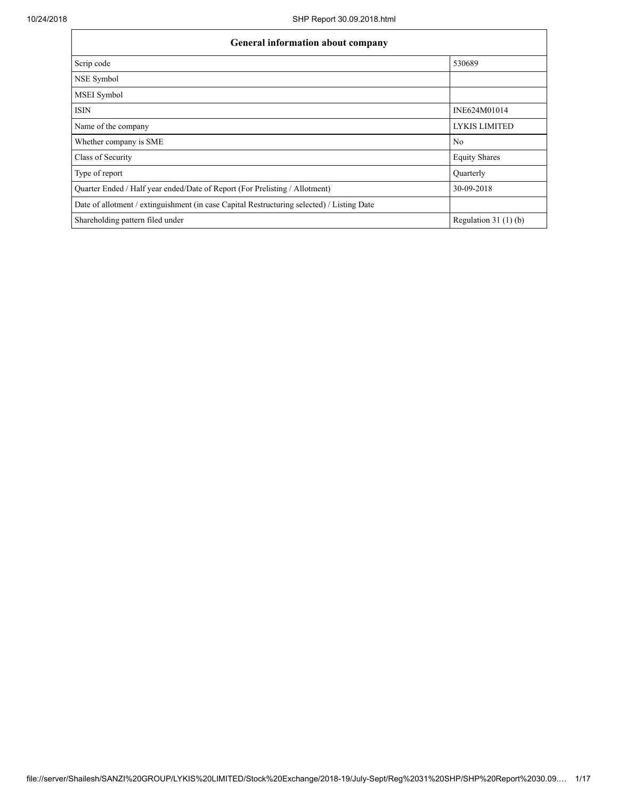$\mathbf{r}$ 

٦

| <b>General information about company</b>                                                   |                        |  |  |  |  |  |  |
|--------------------------------------------------------------------------------------------|------------------------|--|--|--|--|--|--|
| Scrip code                                                                                 | 530689                 |  |  |  |  |  |  |
| NSE Symbol                                                                                 |                        |  |  |  |  |  |  |
| <b>MSEI</b> Symbol                                                                         |                        |  |  |  |  |  |  |
| <b>ISIN</b>                                                                                | INE624M01014           |  |  |  |  |  |  |
| Name of the company                                                                        | <b>LYKIS LIMITED</b>   |  |  |  |  |  |  |
| Whether company is SME                                                                     | N <sub>0</sub>         |  |  |  |  |  |  |
| Class of Security                                                                          | <b>Equity Shares</b>   |  |  |  |  |  |  |
| Type of report                                                                             | Ouarterly              |  |  |  |  |  |  |
| Quarter Ended / Half year ended/Date of Report (For Prelisting / Allotment)                | 30-09-2018             |  |  |  |  |  |  |
| Date of allotment / extinguishment (in case Capital Restructuring selected) / Listing Date |                        |  |  |  |  |  |  |
| Shareholding pattern filed under                                                           | Regulation 31 $(1)(b)$ |  |  |  |  |  |  |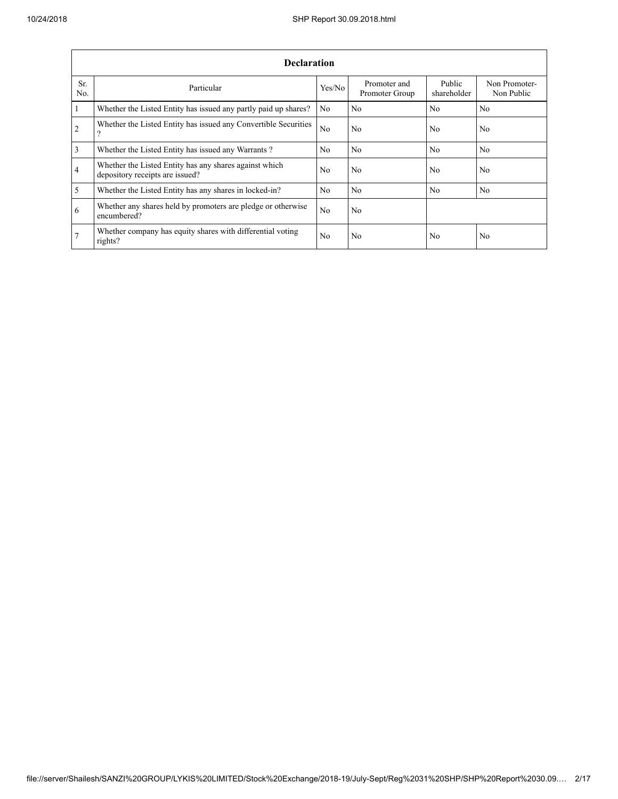|                         | <b>Declaration</b>                                                                          |                |                                |                       |                             |  |  |  |  |  |  |
|-------------------------|---------------------------------------------------------------------------------------------|----------------|--------------------------------|-----------------------|-----------------------------|--|--|--|--|--|--|
| Sr.<br>N <sub>0</sub>   | Particular                                                                                  | Yes/No         | Promoter and<br>Promoter Group | Public<br>shareholder | Non Promoter-<br>Non Public |  |  |  |  |  |  |
| $\mathbf{1}$            | Whether the Listed Entity has issued any partly paid up shares?                             | No.            | N <sub>0</sub>                 | N <sub>0</sub>        | N <sub>0</sub>              |  |  |  |  |  |  |
| $\overline{2}$          | Whether the Listed Entity has issued any Convertible Securities<br>$\overline{\mathcal{L}}$ | N <sub>0</sub> | N <sub>0</sub>                 | N <sub>0</sub>        | N <sub>0</sub>              |  |  |  |  |  |  |
| $\overline{\mathbf{3}}$ | Whether the Listed Entity has issued any Warrants?                                          | N <sub>0</sub> | N <sub>0</sub>                 | N <sub>0</sub>        | N <sub>0</sub>              |  |  |  |  |  |  |
| $\overline{4}$          | Whether the Listed Entity has any shares against which<br>depository receipts are issued?   | No.            | N <sub>0</sub>                 | N <sub>0</sub>        | N <sub>0</sub>              |  |  |  |  |  |  |
| $\overline{5}$          | Whether the Listed Entity has any shares in locked-in?                                      | N <sub>0</sub> | N <sub>0</sub>                 | No                    | N <sub>0</sub>              |  |  |  |  |  |  |
| 6                       | Whether any shares held by promoters are pledge or otherwise<br>encumbered?                 | N <sub>0</sub> | N <sub>0</sub>                 |                       |                             |  |  |  |  |  |  |
| 7                       | Whether company has equity shares with differential voting<br>rights?                       | N <sub>0</sub> | N <sub>0</sub>                 | N <sub>0</sub>        | N <sub>0</sub>              |  |  |  |  |  |  |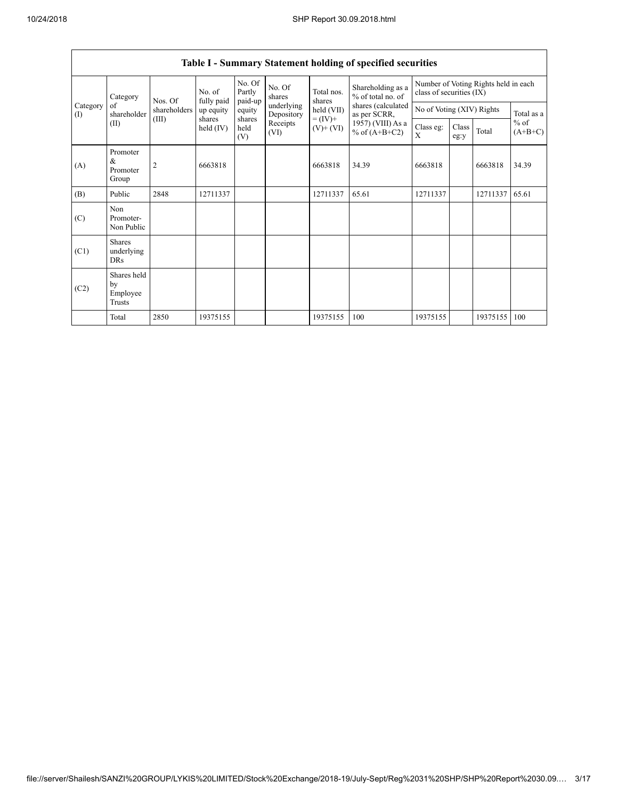|                 | Category                                  | Nos. Of        | No. of<br>fully paid  | No. Of<br>Partly<br>paid-up | No. Of<br>shares         | Total nos.<br>shares                       | Shareholding as a<br>% of total no. of<br>shares (calculated<br>as per SCRR,<br>1957) (VIII) As a<br>% of $(A+B+C2)$ | Number of Voting Rights held in each<br>class of securities (IX) |                           |          |                     |
|-----------------|-------------------------------------------|----------------|-----------------------|-----------------------------|--------------------------|--------------------------------------------|----------------------------------------------------------------------------------------------------------------------|------------------------------------------------------------------|---------------------------|----------|---------------------|
| Category<br>(I) | of<br>shareholder                         | shareholders   | up equity             | equity                      | underlying<br>Depository | held (VII)<br>$= (IV) +$<br>$(V)$ + $(VI)$ |                                                                                                                      |                                                                  | No of Voting (XIV) Rights |          |                     |
|                 | (II)                                      | (III)          | shares<br>held $(IV)$ | shares<br>held<br>(V)       | Receipts<br>(VI)         |                                            |                                                                                                                      | Class eg:<br>X                                                   | Class<br>eg:y             | Total    | $%$ of<br>$(A+B+C)$ |
| (A)             | Promoter<br>&<br>Promoter<br>Group        | $\overline{2}$ | 6663818               |                             |                          | 6663818                                    | 34.39                                                                                                                | 6663818                                                          |                           | 6663818  | 34.39               |
| (B)             | Public                                    | 2848           | 12711337              |                             |                          | 12711337                                   | 65.61                                                                                                                | 12711337                                                         |                           | 12711337 | 65.61               |
| (C)             | Non<br>Promoter-<br>Non Public            |                |                       |                             |                          |                                            |                                                                                                                      |                                                                  |                           |          |                     |
| (C1)            | <b>Shares</b><br>underlying<br><b>DRs</b> |                |                       |                             |                          |                                            |                                                                                                                      |                                                                  |                           |          |                     |
| (C2)            | Shares held<br>by<br>Employee<br>Trusts   |                |                       |                             |                          |                                            |                                                                                                                      |                                                                  |                           |          |                     |
|                 | Total                                     | 2850           | 19375155              |                             |                          | 19375155                                   | 100                                                                                                                  | 19375155                                                         |                           | 19375155 | 100                 |

## **Table I - Summary Statement holding of specified securities**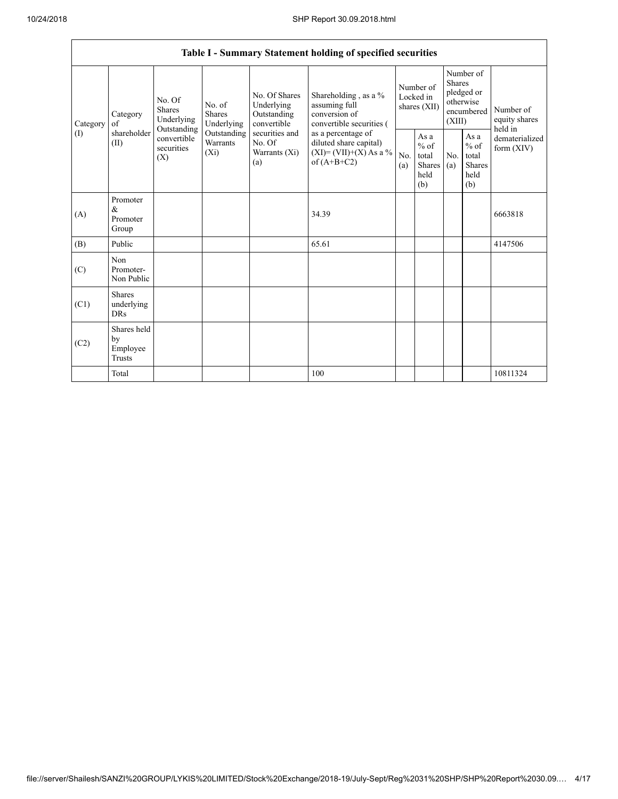٦

|                 | Table I - Summary Statement holding of specified securities |                                                                                       |                                       |                                                           |                                                                                            |                                        |                                                  |                                                                               |                                                         |                                           |
|-----------------|-------------------------------------------------------------|---------------------------------------------------------------------------------------|---------------------------------------|-----------------------------------------------------------|--------------------------------------------------------------------------------------------|----------------------------------------|--------------------------------------------------|-------------------------------------------------------------------------------|---------------------------------------------------------|-------------------------------------------|
| Category<br>(1) | Category<br>of                                              | No. Of<br><b>Shares</b><br>Underlying                                                 | No. of<br><b>Shares</b><br>Underlying | No. Of Shares<br>Underlying<br>Outstanding<br>convertible | Shareholding , as a $\%$<br>assuming full<br>conversion of<br>convertible securities (     | Number of<br>Locked in<br>shares (XII) |                                                  | Number of<br><b>Shares</b><br>pledged or<br>otherwise<br>encumbered<br>(XIII) |                                                         | Number of<br>equity shares                |
|                 | shareholder<br>(II)                                         | Outstanding<br>Outstanding<br>convertible<br>Warrants<br>securities<br>$(X_i)$<br>(X) |                                       | securities and<br>No. Of<br>Warrants (Xi)<br>(a)          | as a percentage of<br>diluted share capital)<br>$(XI) = (VII)+(X) As a %$<br>of $(A+B+C2)$ | No.<br>(a)                             | As a<br>$%$ of<br>total<br>Shares<br>held<br>(b) | No.<br>(a)                                                                    | As a<br>$%$ of<br>total<br><b>Shares</b><br>held<br>(b) | held in<br>dematerialized<br>form $(XIV)$ |
| (A)             | Promoter<br>&<br>Promoter<br>Group                          |                                                                                       |                                       |                                                           | 34.39                                                                                      |                                        |                                                  |                                                                               |                                                         | 6663818                                   |
| (B)             | Public                                                      |                                                                                       |                                       |                                                           | 65.61                                                                                      |                                        |                                                  |                                                                               |                                                         | 4147506                                   |
| (C)             | Non<br>Promoter-<br>Non Public                              |                                                                                       |                                       |                                                           |                                                                                            |                                        |                                                  |                                                                               |                                                         |                                           |
| (C1)            | <b>Shares</b><br>underlying<br><b>DRs</b>                   |                                                                                       |                                       |                                                           |                                                                                            |                                        |                                                  |                                                                               |                                                         |                                           |
| (C2)            | Shares held<br>by<br>Employee<br><b>Trusts</b>              |                                                                                       |                                       |                                                           |                                                                                            |                                        |                                                  |                                                                               |                                                         |                                           |
|                 | Total                                                       |                                                                                       |                                       |                                                           | 100                                                                                        |                                        |                                                  |                                                                               |                                                         | 10811324                                  |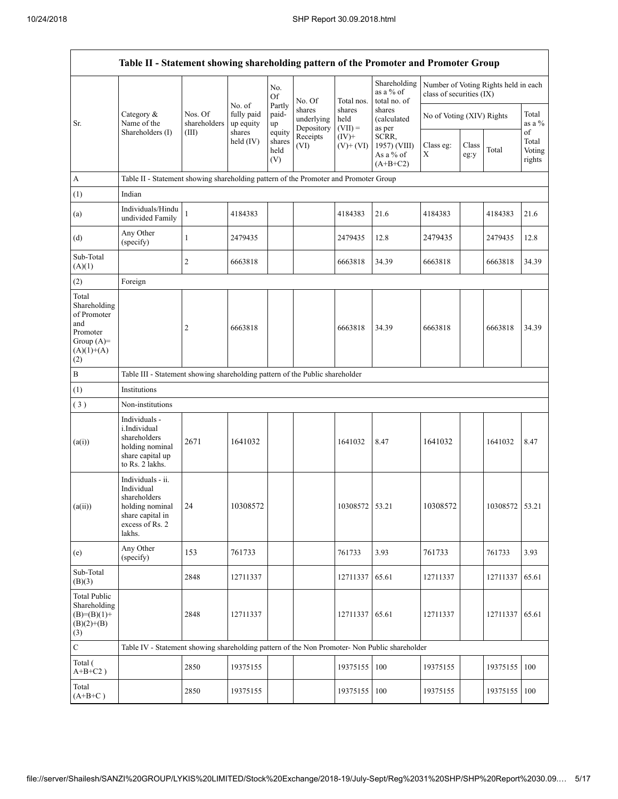|                                                                                                | Table II - Statement showing shareholding pattern of the Promoter and Promoter Group                                   |                                  |                                             |                                 |                                    |                             |                                                  |                                                                  |               |                |                           |
|------------------------------------------------------------------------------------------------|------------------------------------------------------------------------------------------------------------------------|----------------------------------|---------------------------------------------|---------------------------------|------------------------------------|-----------------------------|--------------------------------------------------|------------------------------------------------------------------|---------------|----------------|---------------------------|
|                                                                                                |                                                                                                                        |                                  |                                             | No.<br><b>Of</b>                | No. Of                             | Total nos.                  | Shareholding<br>as a % of<br>total no. of        | Number of Voting Rights held in each<br>class of securities (IX) |               |                |                           |
| Sr.                                                                                            | Category $\&$<br>Name of the<br>Shareholders (I)                                                                       | Nos. Of<br>shareholders<br>(III) | No. of<br>fully paid<br>up equity<br>shares | Partly<br>paid-<br>up<br>equity | shares<br>underlying<br>Depository | shares<br>held<br>$(VII) =$ | shares<br>(calculated<br>as per                  | No of Voting (XIV) Rights                                        |               |                | Total<br>as a $\%$<br>of  |
|                                                                                                |                                                                                                                        |                                  | held $(IV)$                                 | shares<br>held<br>(V)           | Receipts<br>(VI)                   | $(IV)+$<br>$(V)$ + $(VI)$   | SCRR,<br>1957) (VIII)<br>As a % of<br>$(A+B+C2)$ | Class eg:<br>Χ                                                   | Class<br>eg:y | Total          | Total<br>Voting<br>rights |
| A                                                                                              | Table II - Statement showing shareholding pattern of the Promoter and Promoter Group                                   |                                  |                                             |                                 |                                    |                             |                                                  |                                                                  |               |                |                           |
| (1)                                                                                            | Indian                                                                                                                 |                                  |                                             |                                 |                                    |                             |                                                  |                                                                  |               |                |                           |
| (a)                                                                                            | Individuals/Hindu<br>undivided Family                                                                                  | $\mathbf{1}$                     | 4184383                                     |                                 |                                    | 4184383                     | 21.6                                             | 4184383                                                          |               | 4184383        | 21.6                      |
| (d)                                                                                            | Any Other<br>(specify)                                                                                                 | $\mathbf{1}$                     | 2479435                                     |                                 |                                    | 2479435                     | 12.8                                             | 2479435                                                          |               | 2479435        | 12.8                      |
| Sub-Total<br>(A)(1)                                                                            |                                                                                                                        | 2                                | 6663818                                     |                                 |                                    | 6663818                     | 34.39                                            | 6663818                                                          |               | 6663818        | 34.39                     |
| (2)                                                                                            | Foreign                                                                                                                |                                  |                                             |                                 |                                    |                             |                                                  |                                                                  |               |                |                           |
| Total<br>Shareholding<br>of Promoter<br>and<br>Promoter<br>Group $(A)=$<br>$(A)(1)+(A)$<br>(2) |                                                                                                                        | $\overline{\mathbf{c}}$          | 6663818                                     |                                 |                                    | 6663818                     | 34.39                                            | 6663818                                                          |               | 6663818        | 34.39                     |
| B                                                                                              | Table III - Statement showing shareholding pattern of the Public shareholder                                           |                                  |                                             |                                 |                                    |                             |                                                  |                                                                  |               |                |                           |
| (1)                                                                                            | Institutions                                                                                                           |                                  |                                             |                                 |                                    |                             |                                                  |                                                                  |               |                |                           |
| (3)                                                                                            | Non-institutions                                                                                                       |                                  |                                             |                                 |                                    |                             |                                                  |                                                                  |               |                |                           |
| (a(i))                                                                                         | Individuals -<br>i.Individual<br>shareholders<br>holding nominal<br>share capital up<br>to Rs. 2 lakhs.                | 2671                             | 1641032                                     |                                 |                                    | 1641032                     | 8.47                                             | 1641032                                                          |               | 1641032        | 8.47                      |
| (a(ii))                                                                                        | Individuals - ii.<br>Individual<br>shareholders<br>holding nominal 24<br>share capital in<br>excess of Rs. 2<br>lakhs. |                                  | 10308572                                    |                                 |                                    | 10308572 53.21              |                                                  | 10308572                                                         |               | 10308572 53.21 |                           |
| (e)                                                                                            | Any Other<br>(specify)                                                                                                 | 153                              | 761733                                      |                                 |                                    | 761733                      | 3.93                                             | 761733                                                           |               | 761733         | 3.93                      |
| Sub-Total<br>(B)(3)                                                                            |                                                                                                                        | 2848                             | 12711337                                    |                                 |                                    | 12711337                    | 65.61                                            | 12711337                                                         |               | 12711337       | 65.61                     |
| <b>Total Public</b><br>Shareholding<br>$(B)= (B)(1) +$<br>$(B)(2)+(B)$<br>(3)                  |                                                                                                                        | 2848                             | 12711337                                    |                                 |                                    | 12711337 65.61              |                                                  | 12711337                                                         |               | 12711337       | 65.61                     |
| $\mathbf C$                                                                                    | Table IV - Statement showing shareholding pattern of the Non Promoter- Non Public shareholder                          |                                  |                                             |                                 |                                    |                             |                                                  |                                                                  |               |                |                           |
| Total (<br>$A+B+C2$ )                                                                          |                                                                                                                        | 2850                             | 19375155                                    |                                 |                                    | 19375155                    | 100                                              | 19375155                                                         |               | 19375155       | 100                       |
| Total<br>$(A+B+C)$                                                                             |                                                                                                                        | 2850                             | 19375155                                    |                                 |                                    | 19375155                    | 100                                              | 19375155                                                         |               | 19375155       | 100                       |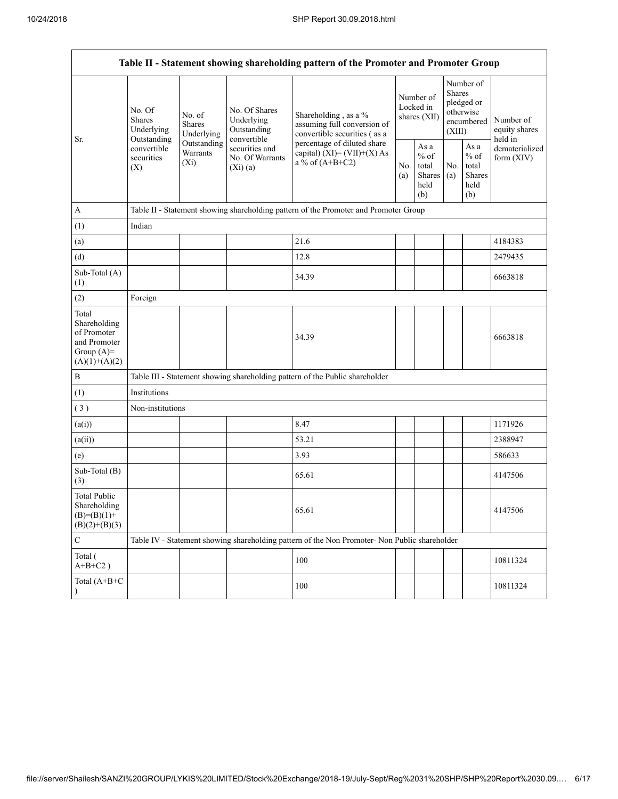| Table II - Statement showing shareholding pattern of the Promoter and Promoter Group    |                                                                                                                                     |             |                                                             |                                                                                               |                                        |                                                  |                                                                        |                                                  |                                       |
|-----------------------------------------------------------------------------------------|-------------------------------------------------------------------------------------------------------------------------------------|-------------|-------------------------------------------------------------|-----------------------------------------------------------------------------------------------|----------------------------------------|--------------------------------------------------|------------------------------------------------------------------------|--------------------------------------------------|---------------------------------------|
| Sr.                                                                                     | No. Of<br>No. of<br>Shares<br><b>Shares</b><br>Underlying<br>Outstanding<br>convertible<br>Warrants<br>securities<br>$(X_i)$<br>(X) | Underlying  | No. Of Shares<br>Underlying<br>Outstanding                  | Shareholding, as a %<br>assuming full conversion of<br>convertible securities (as a           | Number of<br>Locked in<br>shares (XII) |                                                  | Number of<br>Shares<br>pledged or<br>otherwise<br>encumbered<br>(XIII) |                                                  | Number of<br>equity shares<br>held in |
|                                                                                         |                                                                                                                                     | Outstanding | convertible<br>securities and<br>No. Of Warrants<br>(Xi)(a) | percentage of diluted share<br>capital) $(XI) = (VII)+(X) As$<br>a % of $(A+B+C2)$            |                                        | As a<br>$%$ of<br>total<br>Shares<br>held<br>(b) | No.<br>(a)                                                             | As a<br>$%$ of<br>total<br>Shares<br>held<br>(b) | dematerialized<br>form (XIV)          |
| A                                                                                       |                                                                                                                                     |             |                                                             | Table II - Statement showing shareholding pattern of the Promoter and Promoter Group          |                                        |                                                  |                                                                        |                                                  |                                       |
| (1)                                                                                     | Indian                                                                                                                              |             |                                                             |                                                                                               |                                        |                                                  |                                                                        |                                                  |                                       |
| (a)                                                                                     |                                                                                                                                     |             |                                                             | 21.6                                                                                          |                                        |                                                  |                                                                        |                                                  | 4184383                               |
| (d)                                                                                     |                                                                                                                                     |             |                                                             | 12.8                                                                                          |                                        |                                                  |                                                                        |                                                  | 2479435                               |
| Sub-Total (A)<br>(1)                                                                    |                                                                                                                                     |             |                                                             | 34.39                                                                                         |                                        |                                                  |                                                                        |                                                  | 6663818                               |
| (2)                                                                                     | Foreign                                                                                                                             |             |                                                             |                                                                                               |                                        |                                                  |                                                                        |                                                  |                                       |
| Total<br>Shareholding<br>of Promoter<br>and Promoter<br>Group $(A)=$<br>$(A)(1)+(A)(2)$ |                                                                                                                                     |             |                                                             | 34.39                                                                                         |                                        |                                                  |                                                                        |                                                  | 6663818                               |
| $\, {\bf B}$                                                                            |                                                                                                                                     |             |                                                             | Table III - Statement showing shareholding pattern of the Public shareholder                  |                                        |                                                  |                                                                        |                                                  |                                       |
| (1)                                                                                     | Institutions                                                                                                                        |             |                                                             |                                                                                               |                                        |                                                  |                                                                        |                                                  |                                       |
| (3)                                                                                     | Non-institutions                                                                                                                    |             |                                                             |                                                                                               |                                        |                                                  |                                                                        |                                                  |                                       |
| (a(i))                                                                                  |                                                                                                                                     |             |                                                             | 8.47                                                                                          |                                        |                                                  |                                                                        |                                                  | 1171926                               |
| (a(ii))                                                                                 |                                                                                                                                     |             |                                                             | 53.21                                                                                         |                                        |                                                  |                                                                        |                                                  | 2388947                               |
| (e)                                                                                     |                                                                                                                                     |             |                                                             | 3.93                                                                                          |                                        |                                                  |                                                                        |                                                  | 586633                                |
| Sub-Total (B)<br>(3)                                                                    |                                                                                                                                     |             |                                                             | 65.61                                                                                         |                                        |                                                  |                                                                        |                                                  | 4147506                               |
| <b>Total Public</b><br>Shareholding<br>$(B)= (B)(1) +$<br>$(B)(2)+(B)(3)$               |                                                                                                                                     |             |                                                             | 65.61                                                                                         |                                        |                                                  |                                                                        |                                                  | 4147506                               |
| $\mathbf C$                                                                             |                                                                                                                                     |             |                                                             | Table IV - Statement showing shareholding pattern of the Non Promoter- Non Public shareholder |                                        |                                                  |                                                                        |                                                  |                                       |
| Total (<br>$A+B+C2$ )                                                                   |                                                                                                                                     |             |                                                             | 100                                                                                           |                                        |                                                  |                                                                        |                                                  | 10811324                              |
| Total (A+B+C<br>$\lambda$                                                               |                                                                                                                                     |             |                                                             | 100                                                                                           |                                        |                                                  |                                                                        |                                                  | 10811324                              |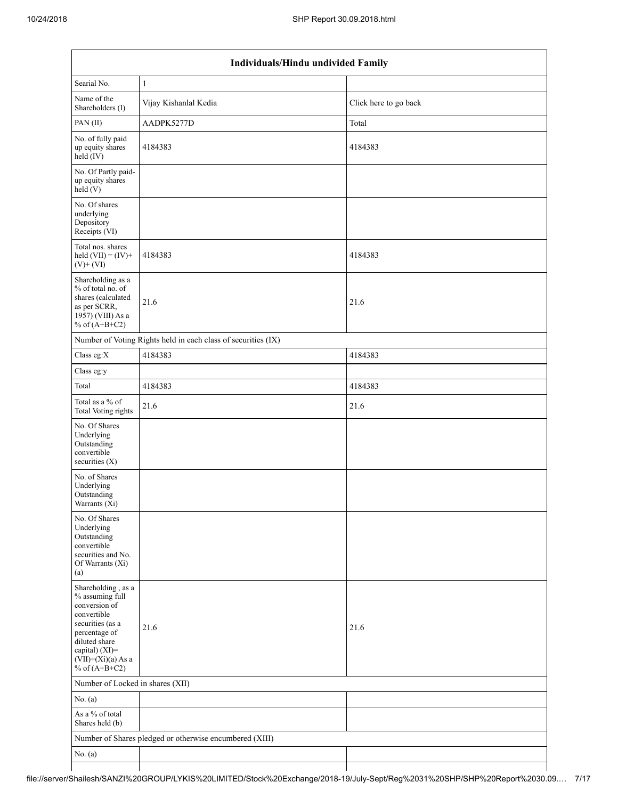|                                                                                                                                                                                          | Individuals/Hindu undivided Family                            |                       |  |  |  |  |  |  |  |
|------------------------------------------------------------------------------------------------------------------------------------------------------------------------------------------|---------------------------------------------------------------|-----------------------|--|--|--|--|--|--|--|
| Searial No.                                                                                                                                                                              | $\mathbf{1}$                                                  |                       |  |  |  |  |  |  |  |
| Name of the<br>Shareholders (I)                                                                                                                                                          | Vijay Kishanlal Kedia                                         | Click here to go back |  |  |  |  |  |  |  |
| PAN(II)                                                                                                                                                                                  | AADPK5277D                                                    | Total                 |  |  |  |  |  |  |  |
| No. of fully paid<br>up equity shares<br>$held$ (IV)                                                                                                                                     | 4184383                                                       | 4184383               |  |  |  |  |  |  |  |
| No. Of Partly paid-<br>up equity shares<br>held(V)                                                                                                                                       |                                                               |                       |  |  |  |  |  |  |  |
| No. Of shares<br>underlying<br>Depository<br>Receipts (VI)                                                                                                                               |                                                               |                       |  |  |  |  |  |  |  |
| Total nos. shares<br>held $(VII) = (IV) +$<br>$(V)$ + $(VI)$                                                                                                                             | 4184383                                                       | 4184383               |  |  |  |  |  |  |  |
| Shareholding as a<br>% of total no. of<br>shares (calculated<br>as per SCRR,<br>1957) (VIII) As a<br>% of $(A+B+C2)$                                                                     | 21.6                                                          | 21.6                  |  |  |  |  |  |  |  |
|                                                                                                                                                                                          | Number of Voting Rights held in each class of securities (IX) |                       |  |  |  |  |  |  |  |
| Class eg:X                                                                                                                                                                               | 4184383                                                       | 4184383               |  |  |  |  |  |  |  |
| Class eg:y                                                                                                                                                                               |                                                               |                       |  |  |  |  |  |  |  |
| Total                                                                                                                                                                                    | 4184383                                                       | 4184383               |  |  |  |  |  |  |  |
| Total as a % of<br>Total Voting rights                                                                                                                                                   | 21.6                                                          | 21.6                  |  |  |  |  |  |  |  |
| No. Of Shares<br>Underlying<br>Outstanding<br>convertible<br>securities $(X)$                                                                                                            |                                                               |                       |  |  |  |  |  |  |  |
| No. of Shares<br>Underlying<br>Outstanding<br>Warrants $(X_i)$                                                                                                                           |                                                               |                       |  |  |  |  |  |  |  |
| No. Of Shares<br>Underlying<br>Outstanding<br>convertible<br>securities and No.<br>Of Warrants (Xi)<br>(a)                                                                               |                                                               |                       |  |  |  |  |  |  |  |
| Shareholding, as a<br>% assuming full<br>conversion of<br>convertible<br>securities (as a<br>percentage of<br>diluted share<br>capital) (XI)=<br>$(VII)+(Xi)(a)$ As a<br>% of $(A+B+C2)$ | 21.6                                                          | 21.6                  |  |  |  |  |  |  |  |
| Number of Locked in shares (XII)                                                                                                                                                         |                                                               |                       |  |  |  |  |  |  |  |
| No. $(a)$                                                                                                                                                                                |                                                               |                       |  |  |  |  |  |  |  |
| As a % of total<br>Shares held (b)                                                                                                                                                       |                                                               |                       |  |  |  |  |  |  |  |
|                                                                                                                                                                                          | Number of Shares pledged or otherwise encumbered (XIII)       |                       |  |  |  |  |  |  |  |
| No. $(a)$                                                                                                                                                                                |                                                               |                       |  |  |  |  |  |  |  |
|                                                                                                                                                                                          |                                                               |                       |  |  |  |  |  |  |  |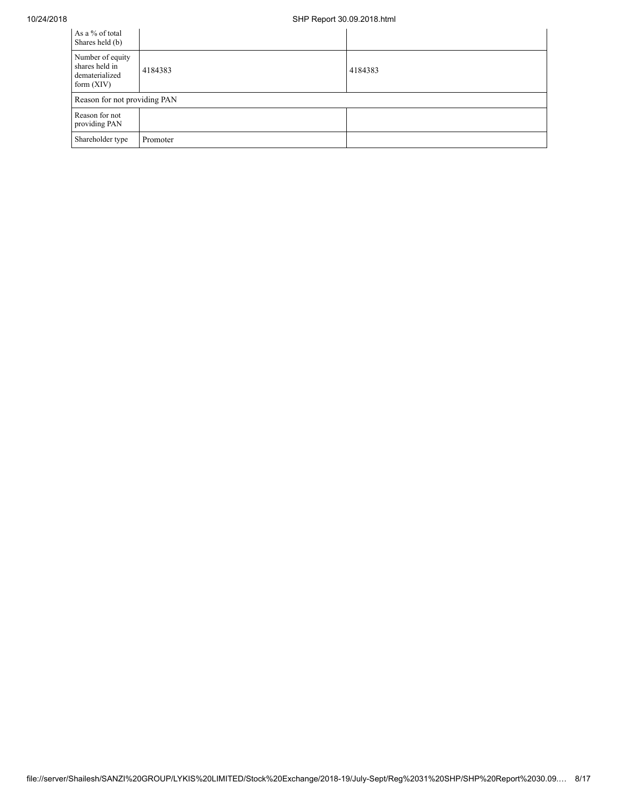## 10/24/2018 SHP Report 30.09.2018.html

| As a % of total<br>Shares held (b)                                   |                              |         |  |  |  |  |  |
|----------------------------------------------------------------------|------------------------------|---------|--|--|--|--|--|
| Number of equity<br>shares held in<br>dematerialized<br>form $(XIV)$ | 4184383                      | 4184383 |  |  |  |  |  |
|                                                                      | Reason for not providing PAN |         |  |  |  |  |  |
| Reason for not<br>providing PAN                                      |                              |         |  |  |  |  |  |
| Shareholder type                                                     | Promoter                     |         |  |  |  |  |  |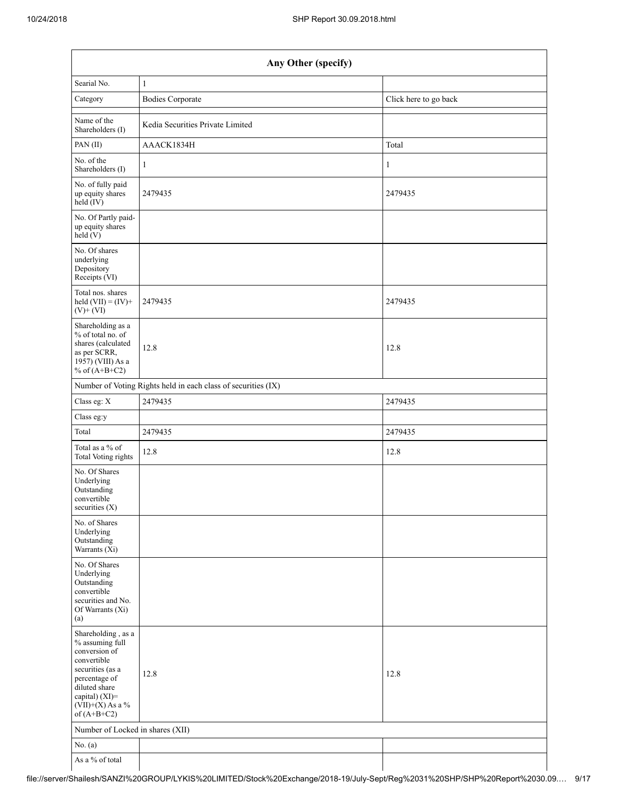|                                                                                                                                                                                      | Any Other (specify)                                           |                       |  |  |  |  |  |  |  |  |
|--------------------------------------------------------------------------------------------------------------------------------------------------------------------------------------|---------------------------------------------------------------|-----------------------|--|--|--|--|--|--|--|--|
| Searial No.                                                                                                                                                                          | $\mathbf{1}$                                                  |                       |  |  |  |  |  |  |  |  |
| Category                                                                                                                                                                             | <b>Bodies Corporate</b>                                       | Click here to go back |  |  |  |  |  |  |  |  |
| Name of the<br>Shareholders (I)                                                                                                                                                      | Kedia Securities Private Limited                              |                       |  |  |  |  |  |  |  |  |
| PAN(II)                                                                                                                                                                              | AAACK1834H                                                    | Total                 |  |  |  |  |  |  |  |  |
| No. of the<br>Shareholders (I)                                                                                                                                                       | $\mathbf{1}$                                                  | $\mathbf{1}$          |  |  |  |  |  |  |  |  |
| No. of fully paid<br>up equity shares<br>$held$ (IV)                                                                                                                                 | 2479435                                                       | 2479435               |  |  |  |  |  |  |  |  |
| No. Of Partly paid-<br>up equity shares<br>held(V)                                                                                                                                   |                                                               |                       |  |  |  |  |  |  |  |  |
| No. Of shares<br>underlying<br>Depository<br>Receipts (VI)                                                                                                                           |                                                               |                       |  |  |  |  |  |  |  |  |
| Total nos. shares<br>held $(VII) = (IV) +$<br>$(V)$ + $(VI)$                                                                                                                         | 2479435                                                       | 2479435               |  |  |  |  |  |  |  |  |
| Shareholding as a<br>% of total no. of<br>shares (calculated<br>as per SCRR,<br>1957) (VIII) As a<br>% of $(A+B+C2)$                                                                 | 12.8                                                          | 12.8                  |  |  |  |  |  |  |  |  |
|                                                                                                                                                                                      | Number of Voting Rights held in each class of securities (IX) |                       |  |  |  |  |  |  |  |  |
| Class eg: X                                                                                                                                                                          | 2479435                                                       | 2479435               |  |  |  |  |  |  |  |  |
| Class eg:y                                                                                                                                                                           |                                                               |                       |  |  |  |  |  |  |  |  |
| Total                                                                                                                                                                                | 2479435                                                       | 2479435               |  |  |  |  |  |  |  |  |
| Total as a % of<br>Total Voting rights                                                                                                                                               | 12.8                                                          | 12.8                  |  |  |  |  |  |  |  |  |
| No. Of Shares<br>Underlying<br>Outstanding<br>convertible<br>securities $(X)$                                                                                                        |                                                               |                       |  |  |  |  |  |  |  |  |
| No. of Shares<br>Underlying<br>Outstanding<br>Warrants $(X_i)$                                                                                                                       |                                                               |                       |  |  |  |  |  |  |  |  |
| No. Of Shares<br>Underlying<br>Outstanding<br>convertible<br>securities and No.<br>Of Warrants (Xi)<br>(a)                                                                           |                                                               |                       |  |  |  |  |  |  |  |  |
| Shareholding, as a<br>% assuming full<br>conversion of<br>convertible<br>securities (as a<br>percentage of<br>diluted share<br>capital) (XI)=<br>$(VII)+(X)$ As a %<br>of $(A+B+C2)$ | 12.8                                                          | 12.8                  |  |  |  |  |  |  |  |  |
| Number of Locked in shares (XII)                                                                                                                                                     |                                                               |                       |  |  |  |  |  |  |  |  |
| No. $(a)$                                                                                                                                                                            |                                                               |                       |  |  |  |  |  |  |  |  |
| As a % of total                                                                                                                                                                      |                                                               |                       |  |  |  |  |  |  |  |  |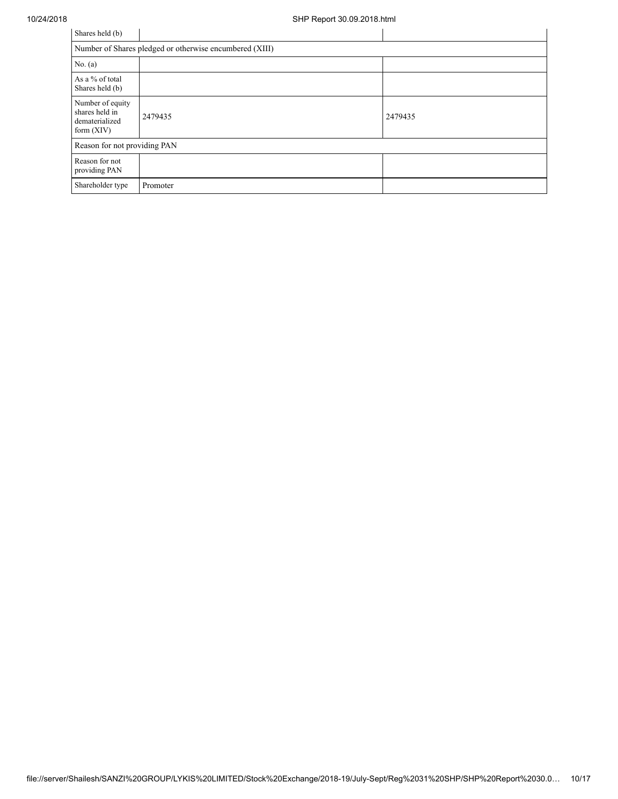| Shares held (b)                                                      |                                                         |         |
|----------------------------------------------------------------------|---------------------------------------------------------|---------|
|                                                                      | Number of Shares pledged or otherwise encumbered (XIII) |         |
| No. $(a)$                                                            |                                                         |         |
| As a % of total<br>Shares held (b)                                   |                                                         |         |
| Number of equity<br>shares held in<br>dematerialized<br>form $(XIV)$ | 2479435                                                 | 2479435 |
| Reason for not providing PAN                                         |                                                         |         |
| Reason for not<br>providing PAN                                      |                                                         |         |
| Shareholder type                                                     | Promoter                                                |         |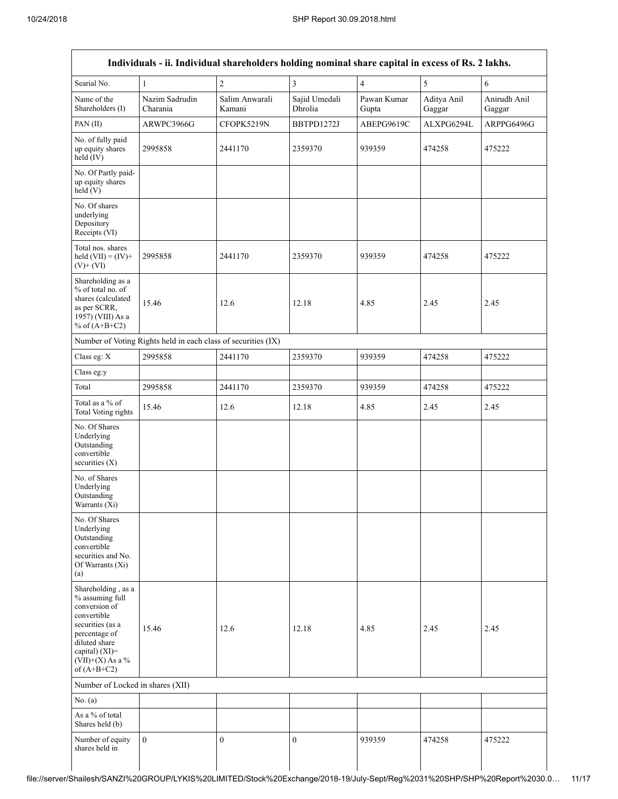| Searial No.                                                                                                                                                                          | 1                          | $\overline{c}$                                                | $\overline{\mathbf{3}}$  | $\overline{4}$       | 5                     | 6                      |
|--------------------------------------------------------------------------------------------------------------------------------------------------------------------------------------|----------------------------|---------------------------------------------------------------|--------------------------|----------------------|-----------------------|------------------------|
| Name of the<br>Shareholders (I)                                                                                                                                                      | Nazim Sadrudin<br>Charania | Salim Anwarali<br>Kamani                                      | Sajid Umedali<br>Dhrolia | Pawan Kumar<br>Gupta | Aditya Anil<br>Gaggar | Anirudh Anil<br>Gaggar |
| PAN (II)                                                                                                                                                                             | ARWPC3966G                 | CFOPK5219N                                                    | BBTPD1272J               | ABEPG9619C           | ALXPG6294L            | ARPPG6496G             |
| No. of fully paid<br>up equity shares<br>$held$ (IV)                                                                                                                                 | 2995858                    | 2441170                                                       | 2359370                  | 939359               | 474258                | 475222                 |
| No. Of Partly paid-<br>up equity shares<br>held(V)                                                                                                                                   |                            |                                                               |                          |                      |                       |                        |
| No. Of shares<br>underlying<br>Depository<br>Receipts (VI)                                                                                                                           |                            |                                                               |                          |                      |                       |                        |
| Total nos. shares<br>held $(VII) = (IV) +$<br>$(V)$ + $(VI)$                                                                                                                         | 2995858                    | 2441170                                                       | 2359370                  | 939359               | 474258                | 475222                 |
| Shareholding as a<br>% of total no. of<br>shares (calculated<br>as per SCRR,<br>1957) (VIII) As a<br>% of $(A+B+C2)$                                                                 | 15.46                      | 12.6                                                          | 12.18                    | 4.85                 | 2.45                  | 2.45                   |
|                                                                                                                                                                                      |                            | Number of Voting Rights held in each class of securities (IX) |                          |                      |                       |                        |
| Class eg: X                                                                                                                                                                          | 2995858                    | 2441170                                                       | 2359370                  | 939359               | 474258                | 475222                 |
| Class eg:y                                                                                                                                                                           |                            |                                                               |                          |                      |                       |                        |
| Total                                                                                                                                                                                | 2995858                    | 2441170                                                       | 2359370                  | 939359               | 474258                | 475222                 |
| Total as a % of<br>Total Voting rights                                                                                                                                               | 15.46                      | 12.6                                                          | 12.18                    | 4.85                 | 2.45                  | 2.45                   |
| No. Of Shares<br>Underlying<br>Outstanding<br>convertible<br>securities $(X)$                                                                                                        |                            |                                                               |                          |                      |                       |                        |
| No. of Shares<br>Underlying<br>Outstanding<br>Warrants $(X_i)$                                                                                                                       |                            |                                                               |                          |                      |                       |                        |
| No. Of Shares<br>Underlying<br>Outstanding<br>convertible<br>securities and No.<br>Of Warrants (Xi)<br>(a)                                                                           |                            |                                                               |                          |                      |                       |                        |
| Shareholding, as a<br>% assuming full<br>conversion of<br>convertible<br>securities (as a<br>percentage of<br>diluted share<br>capital) (XI)=<br>$(VII)+(X)$ As a %<br>of $(A+B+C2)$ | 15.46                      | 12.6                                                          | 12.18                    | 4.85                 | 2.45                  | 2.45                   |
| Number of Locked in shares (XII)                                                                                                                                                     |                            |                                                               |                          |                      |                       |                        |
| No. (a)                                                                                                                                                                              |                            |                                                               |                          |                      |                       |                        |
| As a % of total<br>Shares held (b)                                                                                                                                                   |                            |                                                               |                          |                      |                       |                        |
| Number of equity<br>shares held in                                                                                                                                                   | $\mathbf{0}$               | $\mathbf{0}$                                                  | $\mathbf{0}$             | 939359               | 474258                | 475222                 |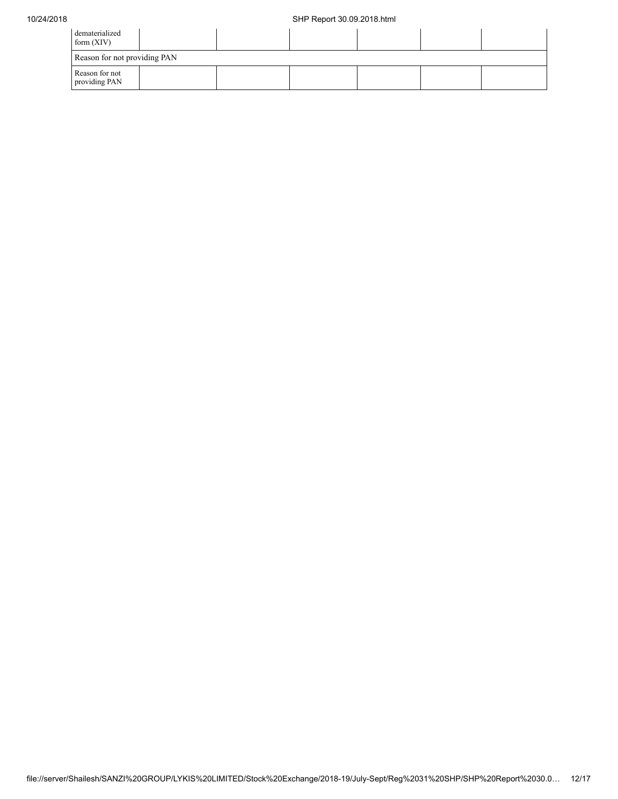| dematerialized<br>form $(XIV)$  |  |  |  |  |  |  |  |  |  |
|---------------------------------|--|--|--|--|--|--|--|--|--|
| Reason for not providing PAN    |  |  |  |  |  |  |  |  |  |
| Reason for not<br>providing PAN |  |  |  |  |  |  |  |  |  |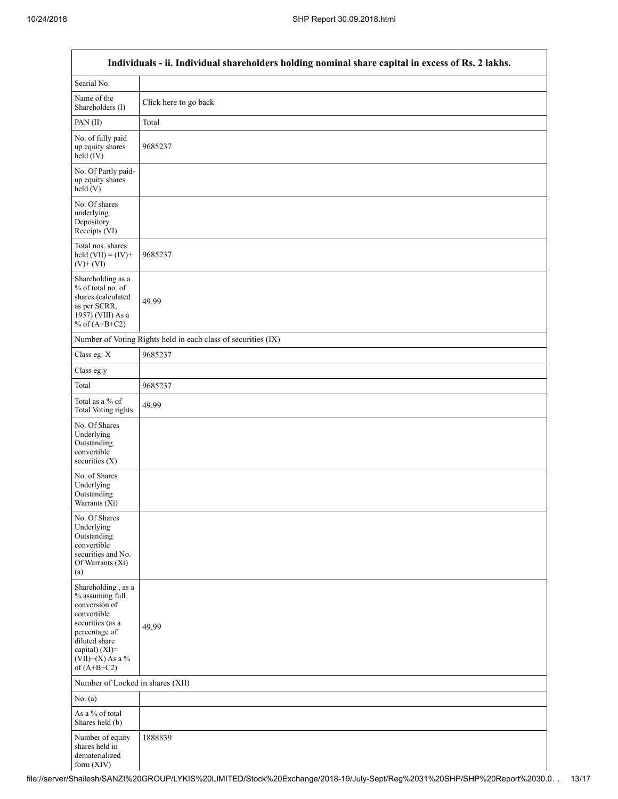Г

٦

| Individuals - ii. Individual shareholders holding nominal share capital in excess of Rs. 2 lakhs.                                                                                     |                                                               |  |  |  |  |  |  |
|---------------------------------------------------------------------------------------------------------------------------------------------------------------------------------------|---------------------------------------------------------------|--|--|--|--|--|--|
| Searial No.                                                                                                                                                                           |                                                               |  |  |  |  |  |  |
| Name of the<br>Shareholders (I)                                                                                                                                                       | Click here to go back                                         |  |  |  |  |  |  |
| PAN(II)                                                                                                                                                                               | Total                                                         |  |  |  |  |  |  |
| No. of fully paid<br>up equity shares<br>held (IV)                                                                                                                                    | 9685237                                                       |  |  |  |  |  |  |
| No. Of Partly paid-<br>up equity shares<br>held(V)                                                                                                                                    |                                                               |  |  |  |  |  |  |
| No. Of shares<br>underlying<br>Depository<br>Receipts (VI)                                                                                                                            |                                                               |  |  |  |  |  |  |
| Total nos. shares<br>held $(VII) = (IV) +$<br>$(V)$ + $(VI)$                                                                                                                          | 9685237                                                       |  |  |  |  |  |  |
| Shareholding as a<br>% of total no. of<br>shares (calculated<br>as per SCRR,<br>1957) (VIII) As a<br>% of $(A+B+C2)$                                                                  | 49.99                                                         |  |  |  |  |  |  |
|                                                                                                                                                                                       | Number of Voting Rights held in each class of securities (IX) |  |  |  |  |  |  |
| Class eg: X                                                                                                                                                                           | 9685237                                                       |  |  |  |  |  |  |
| Class eg:y                                                                                                                                                                            |                                                               |  |  |  |  |  |  |
| Total                                                                                                                                                                                 | 9685237                                                       |  |  |  |  |  |  |
| Total as a % of<br>Total Voting rights                                                                                                                                                | 49.99                                                         |  |  |  |  |  |  |
| No. Of Shares<br>Underlying<br>Outstanding<br>convertible<br>securities (X)                                                                                                           |                                                               |  |  |  |  |  |  |
| No. of Shares<br>Underlying<br>Outstanding<br>Warrants (Xi)                                                                                                                           |                                                               |  |  |  |  |  |  |
| No. Of Shares<br>Underlying<br>Outstanding<br>convertible<br>securities and No.<br>Of Warrants (Xi)<br>(a)                                                                            |                                                               |  |  |  |  |  |  |
| Shareholding , as a<br>% assuming full<br>conversion of<br>convertible<br>securities (as a<br>percentage of<br>diluted share<br>capital) (XI)=<br>$(VII)+(X)$ As a %<br>of $(A+B+C2)$ | 49.99                                                         |  |  |  |  |  |  |
| Number of Locked in shares (XII)                                                                                                                                                      |                                                               |  |  |  |  |  |  |
| No. $(a)$                                                                                                                                                                             |                                                               |  |  |  |  |  |  |
| As a % of total<br>Shares held (b)                                                                                                                                                    |                                                               |  |  |  |  |  |  |
| Number of equity<br>shares held in<br>dematerialized<br>form $(XIV)$                                                                                                                  | 1888839                                                       |  |  |  |  |  |  |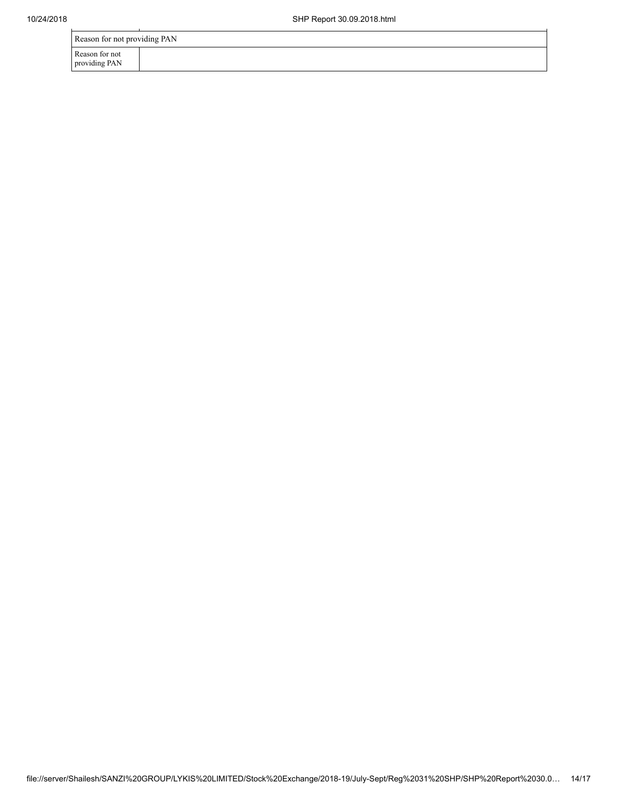|  | Reason for not providing PAN |
|--|------------------------------|
|--|------------------------------|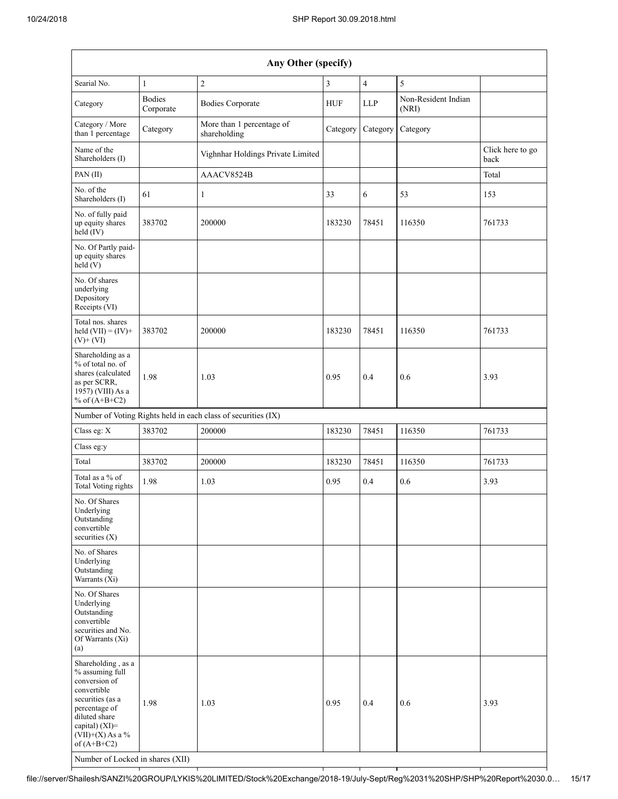| Any Other (specify)                                                                                                                                                                                                      |                            |                                                               |            |                |                              |                          |  |  |
|--------------------------------------------------------------------------------------------------------------------------------------------------------------------------------------------------------------------------|----------------------------|---------------------------------------------------------------|------------|----------------|------------------------------|--------------------------|--|--|
| Searial No.                                                                                                                                                                                                              | $\mathbf{1}$               | $\sqrt{2}$                                                    | 3          | $\overline{4}$ | 5                            |                          |  |  |
| Category                                                                                                                                                                                                                 | <b>Bodies</b><br>Corporate | <b>Bodies Corporate</b>                                       | <b>HUF</b> | <b>LLP</b>     | Non-Resident Indian<br>(NRI) |                          |  |  |
| Category / More<br>than 1 percentage                                                                                                                                                                                     | Category                   | More than 1 percentage of<br>shareholding                     | Category   | Category       | Category                     |                          |  |  |
| Name of the<br>Shareholders (I)                                                                                                                                                                                          |                            | Vighnhar Holdings Private Limited                             |            |                |                              | Click here to go<br>back |  |  |
| PAN(II)                                                                                                                                                                                                                  |                            | AAACV8524B                                                    |            |                |                              | Total                    |  |  |
| No. of the<br>Shareholders (I)                                                                                                                                                                                           | 61                         | $\mathbf{1}$                                                  | 33         | 6              | 53                           | 153                      |  |  |
| No. of fully paid<br>up equity shares<br>held (IV)                                                                                                                                                                       | 383702                     | 200000                                                        | 183230     | 78451          | 116350                       | 761733                   |  |  |
| No. Of Partly paid-<br>up equity shares<br>held(V)                                                                                                                                                                       |                            |                                                               |            |                |                              |                          |  |  |
| No. Of shares<br>underlying<br>Depository<br>Receipts (VI)                                                                                                                                                               |                            |                                                               |            |                |                              |                          |  |  |
| Total nos. shares<br>held $(VII) = (IV) +$<br>$(V)$ + $(VI)$                                                                                                                                                             | 383702                     | 200000                                                        | 183230     | 78451          | 116350                       | 761733                   |  |  |
| Shareholding as a<br>% of total no. of<br>shares (calculated<br>as per SCRR,<br>1957) (VIII) As a<br>% of $(A+B+C2)$                                                                                                     | 1.98                       | 1.03                                                          | 0.95       | 0.4            | 0.6                          | 3.93                     |  |  |
|                                                                                                                                                                                                                          |                            | Number of Voting Rights held in each class of securities (IX) |            |                |                              |                          |  |  |
| Class eg: X                                                                                                                                                                                                              | 383702                     | 200000                                                        | 183230     | 78451          | 116350                       | 761733                   |  |  |
| Class eg:y                                                                                                                                                                                                               |                            |                                                               |            |                |                              |                          |  |  |
| Total                                                                                                                                                                                                                    | 383702                     | 200000                                                        | 183230     | 78451          | 116350                       | 761733                   |  |  |
| Total as a % of<br>Total Voting rights                                                                                                                                                                                   | 1.98                       | 1.03                                                          | 0.95       | 0.4            | 0.6                          | 3.93                     |  |  |
| No. Of Shares<br>Underlying<br>Outstanding<br>convertible<br>securities (X)                                                                                                                                              |                            |                                                               |            |                |                              |                          |  |  |
| No. of Shares<br>Underlying<br>Outstanding<br>Warrants (Xi)                                                                                                                                                              |                            |                                                               |            |                |                              |                          |  |  |
| No. Of Shares<br>Underlying<br>Outstanding<br>convertible<br>securities and No.<br>Of Warrants (Xi)<br>(a)                                                                                                               |                            |                                                               |            |                |                              |                          |  |  |
| Shareholding, as a<br>% assuming full<br>conversion of<br>convertible<br>securities (as a<br>percentage of<br>diluted share<br>capital) (XI)=<br>$(VII)+(X)$ As a %<br>of $(A+B+C2)$<br>Number of Locked in shares (XII) | 1.98                       | 1.03                                                          | 0.95       | 0.4            | 0.6                          | 3.93                     |  |  |